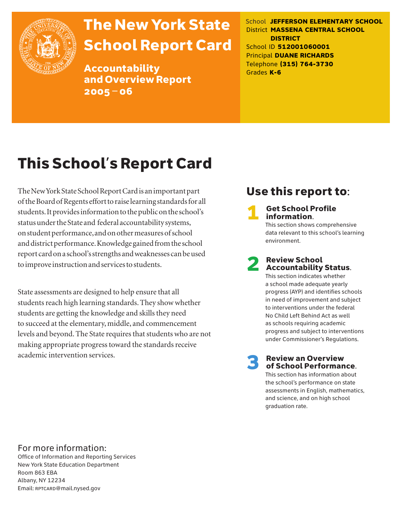

# The New York State School Report Card

Accountability and Overview Report 2005–06

School **JEFFERSON ELEMENTARY SCHOOL** District **MASSENA CENTRAL SCHOOL DISTRICT** School ID **512001060001** Principal **DUANE RICHARDS** Telephone **(315) 764-3730** Grades **K-6**

# This School's Report Card

The New York State School Report Card is an important part of the Board of Regents effort to raise learning standards for all students. It provides information to the public on the school's status under the State and federal accountability systems, on student performance, and on other measures of school and district performance. Knowledge gained from the school report card on a school's strengths and weaknesses can be used to improve instruction and services to students.

State assessments are designed to help ensure that all students reach high learning standards. They show whether students are getting the knowledge and skills they need to succeed at the elementary, middle, and commencement levels and beyond. The State requires that students who are not making appropriate progress toward the standards receive academic intervention services.

## Use this report to:

**Get School Profile** information. This section shows comprehensive data relevant to this school's learning

# 2 Review School Accountability Status.

environment.

This section indicates whether a school made adequate yearly progress (AYP) and identifies schools in need of improvement and subject to interventions under the federal No Child Left Behind Act as well as schools requiring academic progress and subject to interventions under Commissioner's Regulations.

**Review an Overview** of School Performance.

This section has information about the school's performance on state assessments in English, mathematics, and science, and on high school graduation rate.

### For more information:

Office of Information and Reporting Services New York State Education Department Room 863 EBA Albany, NY 12234 Email: RPTCARD@mail.nysed.gov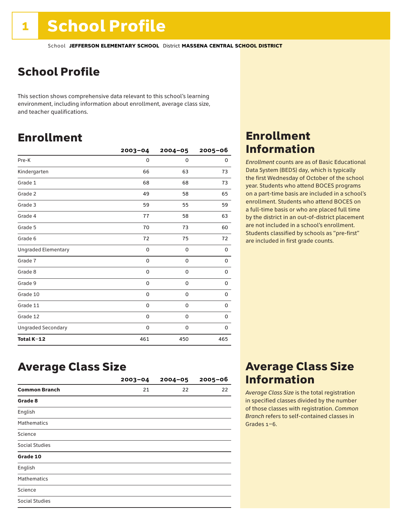# School Profile

This section shows comprehensive data relevant to this school's learning environment, including information about enrollment, average class size, and teacher qualifications.

### Enrollment

|                            | $2003 - 04$ | $2004 - 05$ | $2005 - 06$ |
|----------------------------|-------------|-------------|-------------|
| Pre-K                      | 0           | 0           | 0           |
| Kindergarten               | 66          | 63          | 73          |
| Grade 1                    | 68          | 68          | 73          |
| Grade 2                    | 49          | 58          | 65          |
| Grade 3                    | 59          | 55          | 59          |
| Grade 4                    | 77          | 58          | 63          |
| Grade 5                    | 70          | 73          | 60          |
| Grade 6                    | 72          | 75          | 72          |
| <b>Ungraded Elementary</b> | 0           | 0           | 0           |
| Grade 7                    | 0           | $\mathbf 0$ | 0           |
| Grade 8                    | 0           | 0           | 0           |
| Grade 9                    | 0           | 0           | 0           |
| Grade 10                   | 0           | 0           | 0           |
| Grade 11                   | $\mathbf 0$ | $\mathbf 0$ | $\mathbf 0$ |
| Grade 12                   | $\mathbf 0$ | $\mathbf 0$ | $\mathbf 0$ |
| <b>Ungraded Secondary</b>  | 0           | 0           | $\Omega$    |
| Total K-12                 | 461         | 450         | 465         |

### Enrollment Information

*Enrollment* counts are as of Basic Educational Data System (BEDS) day, which is typically the first Wednesday of October of the school year. Students who attend BOCES programs on a part-time basis are included in a school's enrollment. Students who attend BOCES on a full-time basis or who are placed full time by the district in an out-of-district placement are not included in a school's enrollment. Students classified by schools as "pre-first" are included in first grade counts.

### Average Class Size

|                      | $2003 - 04$ | $2004 - 05$ | $2005 - 06$ |
|----------------------|-------------|-------------|-------------|
| <b>Common Branch</b> | 21          | 22          | 22          |
| Grade 8              |             |             |             |
| English              |             |             |             |
| <b>Mathematics</b>   |             |             |             |
| Science              |             |             |             |
| Social Studies       |             |             |             |
| Grade 10             |             |             |             |
| English              |             |             |             |
| <b>Mathematics</b>   |             |             |             |
| Science              |             |             |             |
| Social Studies       |             |             |             |

### Average Class Size Information

*Average Class Size* is the total registration in specified classes divided by the number of those classes with registration. *Common Branch* refers to self-contained classes in Grades 1–6.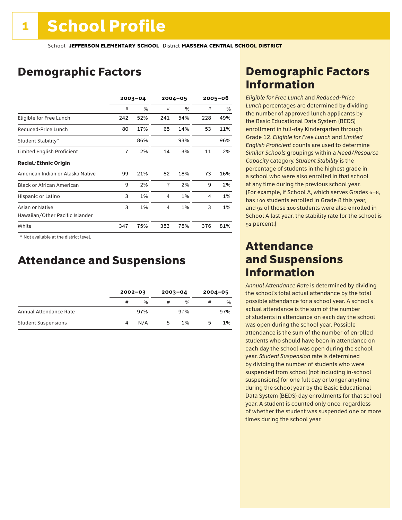### Demographic Factors

|                                                    | $2003 - 04$ |      | $2004 - 05$    |     | $2005 - 06$ |     |
|----------------------------------------------------|-------------|------|----------------|-----|-------------|-----|
|                                                    | #           | $\%$ | #              | %   | #           | %   |
| Eligible for Free Lunch                            | 242         | 52%  | 241            | 54% | 228         | 49% |
| Reduced-Price Lunch                                | 80          | 17%  | 65             | 14% | 53          | 11% |
| Student Stability*                                 |             | 86%  |                | 93% |             | 96% |
| Limited English Proficient                         | 7           | 2%   | 14             | 3%  | 11          | 2%  |
| <b>Racial/Ethnic Origin</b>                        |             |      |                |     |             |     |
| American Indian or Alaska Native                   | 99          | 21%  | 82             | 18% | 73          | 16% |
| <b>Black or African American</b>                   | 9           | 2%   | $\overline{7}$ | 2%  | 9           | 2%  |
| Hispanic or Latino                                 | 3           | 1%   | 4              | 1%  | 4           | 1%  |
| Asian or Native<br>Hawaiian/Other Pacific Islander | 3           | 1%   | 4              | 1%  | 3           | 1%  |
|                                                    |             |      |                |     |             |     |
| White                                              | 347         | 75%  | 353            | 78% | 376         | 81% |

 \* Not available at the district level.

### Attendance and Suspensions

|                            |   | $2002 - 03$   |   | $2003 - 04$   |   | $2004 - 05$ |
|----------------------------|---|---------------|---|---------------|---|-------------|
|                            | # | $\frac{0}{0}$ | # | $\frac{0}{0}$ | # | %           |
| Annual Attendance Rate     |   | 97%           |   | 97%           |   | 97%         |
| <b>Student Suspensions</b> | 4 | N/A           | 5 | 1%            | כ | 1%          |

### Demographic Factors Information

*Eligible for Free Lunch* and *Reduced*-*Price Lunch* percentages are determined by dividing the number of approved lunch applicants by the Basic Educational Data System (BEDS) enrollment in full-day Kindergarten through Grade 12. *Eligible for Free Lunch* and *Limited English Proficient* counts are used to determine *Similar Schools* groupings within a *Need*/*Resource Capacity* category. *Student Stability* is the percentage of students in the highest grade in a school who were also enrolled in that school at any time during the previous school year. (For example, if School A, which serves Grades 6–8, has 100 students enrolled in Grade 8 this year, and 92 of those 100 students were also enrolled in School A last year, the stability rate for the school is 92 percent.)

### Attendance and Suspensions Information

*Annual Attendance Rate* is determined by dividing the school's total actual attendance by the total possible attendance for a school year. A school's actual attendance is the sum of the number of students in attendance on each day the school was open during the school year. Possible attendance is the sum of the number of enrolled students who should have been in attendance on each day the school was open during the school year. *Student Suspension* rate is determined by dividing the number of students who were suspended from school (not including in-school suspensions) for one full day or longer anytime during the school year by the Basic Educational Data System (BEDS) day enrollments for that school year. A student is counted only once, regardless of whether the student was suspended one or more times during the school year.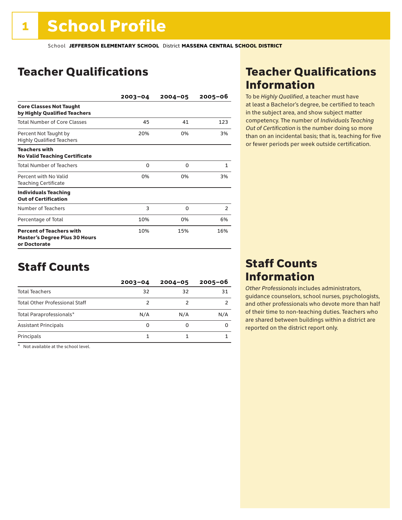# Teacher Qualifications

|                                                                                         | $2003 - 04$ | $2004 - 05$ | 2005-06      |
|-----------------------------------------------------------------------------------------|-------------|-------------|--------------|
| <b>Core Classes Not Taught</b><br>by Highly Qualified Teachers                          |             |             |              |
| Total Number of Core Classes                                                            | 45          | 41          | 123          |
| Percent Not Taught by<br><b>Highly Qualified Teachers</b>                               | 20%         | 0%          | 3%           |
| <b>Teachers with</b><br><b>No Valid Teaching Certificate</b>                            |             |             |              |
| <b>Total Number of Teachers</b>                                                         | 0           | $\Omega$    | $\mathbf{1}$ |
| Percent with No Valid<br><b>Teaching Certificate</b>                                    | 0%          | 0%          | 3%           |
| <b>Individuals Teaching</b><br><b>Out of Certification</b>                              |             |             |              |
| Number of Teachers                                                                      | 3           | 0           | 2            |
| Percentage of Total                                                                     | 10%         | 0%          | 6%           |
| <b>Percent of Teachers with</b><br><b>Master's Degree Plus 30 Hours</b><br>or Doctorate | 10%         | 15%         | 16%          |

### Staff Counts

|                                       | $2003 - 04$ | $2004 - 05$ | $2005 - 06$ |
|---------------------------------------|-------------|-------------|-------------|
| <b>Total Teachers</b>                 | 32          | 32          | 31          |
| <b>Total Other Professional Staff</b> |             |             |             |
| Total Paraprofessionals*              | N/A         | N/A         | N/A         |
| <b>Assistant Principals</b>           | 0           |             |             |
| Principals                            |             |             |             |

\* Not available at the school level.

### Teacher Qualifications Information

To be *Highly Qualified*, a teacher must have at least a Bachelor's degree, be certified to teach in the subject area, and show subject matter competency. The number of *Individuals Teaching Out of Certification* is the number doing so more than on an incidental basis; that is, teaching for five or fewer periods per week outside certification.

### Staff Counts Information

*Other Professionals* includes administrators, guidance counselors, school nurses, psychologists, and other professionals who devote more than half of their time to non-teaching duties. Teachers who are shared between buildings within a district are reported on the district report only.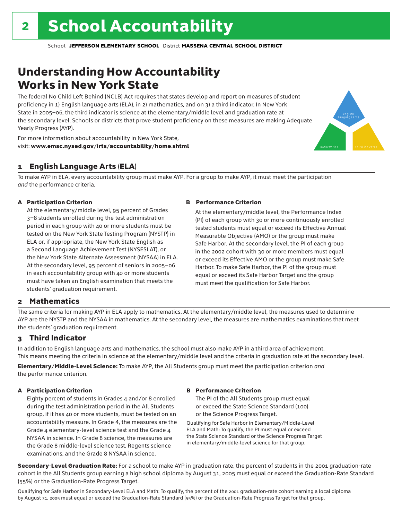## Understanding How Accountability Works in New York State

The federal No Child Left Behind (NCLB) Act requires that states develop and report on measures of student proficiency in 1) English language arts (ELA), in 2) mathematics, and on 3) a third indicator. In New York State in 2005–06, the third indicator is science at the elementary/middle level and graduation rate at the secondary level. Schools or districts that prove student proficiency on these measures are making Adequate Yearly Progress (AYP).



For more information about accountability in New York State, visit: www.emsc.nysed.gov/irts/accountability/home.shtml

### 1 English Language Arts (ELA)

To make AYP in ELA, every accountability group must make AYP. For a group to make AYP, it must meet the participation *and* the performance criteria.

#### A Participation Criterion

At the elementary/middle level, 95 percent of Grades 3–8 students enrolled during the test administration period in each group with 40 or more students must be tested on the New York State Testing Program (NYSTP) in ELA or, if appropriate, the New York State English as a Second Language Achievement Test (NYSESLAT), or the New York State Alternate Assessment (NYSAA) in ELA. At the secondary level, 95 percent of seniors in 2005–06 in each accountability group with 40 or more students must have taken an English examination that meets the students' graduation requirement.

#### B Performance Criterion

At the elementary/middle level, the Performance Index (PI) of each group with 30 or more continuously enrolled tested students must equal or exceed its Effective Annual Measurable Objective (AMO) or the group must make Safe Harbor. At the secondary level, the PI of each group in the 2002 cohort with 30 or more members must equal or exceed its Effective AMO or the group must make Safe Harbor. To make Safe Harbor, the PI of the group must equal or exceed its Safe Harbor Target and the group must meet the qualification for Safe Harbor.

#### 2 Mathematics

The same criteria for making AYP in ELA apply to mathematics. At the elementary/middle level, the measures used to determine AYP are the NYSTP and the NYSAA in mathematics. At the secondary level, the measures are mathematics examinations that meet the students' graduation requirement.

### 3 Third Indicator

In addition to English language arts and mathematics, the school must also make AYP in a third area of achievement. This means meeting the criteria in science at the elementary/middle level and the criteria in graduation rate at the secondary level.

Elementary/Middle-Level Science: To make AYP, the All Students group must meet the participation criterion *and* the performance criterion.

#### A Participation Criterion

Eighty percent of students in Grades 4 and/or 8 enrolled during the test administration period in the All Students group, if it has 40 or more students, must be tested on an accountability measure. In Grade 4, the measures are the Grade 4 elementary-level science test and the Grade 4 NYSAA in science. In Grade 8 science, the measures are the Grade 8 middle-level science test, Regents science examinations, and the Grade 8 NYSAA in science.

#### B Performance Criterion

The PI of the All Students group must equal or exceed the State Science Standard (100) or the Science Progress Target.

Qualifying for Safe Harbor in Elementary/Middle-Level ELA and Math: To qualify, the PI must equal or exceed the State Science Standard or the Science Progress Target in elementary/middle-level science for that group.

Secondary-Level Graduation Rate: For a school to make AYP in graduation rate, the percent of students in the 2001 graduation-rate cohort in the All Students group earning a high school diploma by August 31, 2005 must equal or exceed the Graduation-Rate Standard (55%) or the Graduation-Rate Progress Target.

Qualifying for Safe Harbor in Secondary-Level ELA and Math: To qualify, the percent of the 2001 graduation-rate cohort earning a local diploma by August 31, 2005 must equal or exceed the Graduation-Rate Standard (55%) or the Graduation-Rate Progress Target for that group.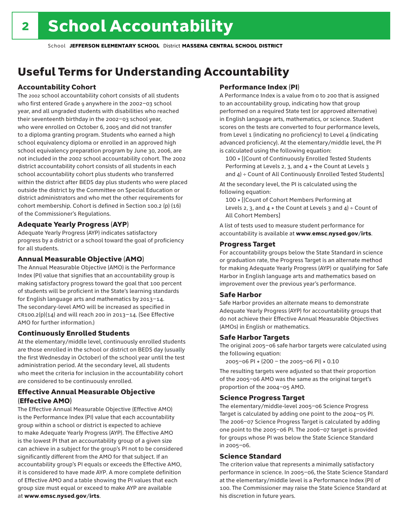# Useful Terms for Understanding Accountability

### Accountability Cohort

The 2002 school accountability cohort consists of all students who first entered Grade 9 anywhere in the 2002–03 school year, and all ungraded students with disabilities who reached their seventeenth birthday in the 2002–03 school year, who were enrolled on October 6, 2005 and did not transfer to a diploma granting program. Students who earned a high school equivalency diploma or enrolled in an approved high school equivalency preparation program by June 30, 2006, are not included in the 2002 school accountability cohort. The 2002 district accountability cohort consists of all students in each school accountability cohort plus students who transferred within the district after BEDS day plus students who were placed outside the district by the Committee on Special Education or district administrators and who met the other requirements for cohort membership. Cohort is defined in Section 100.2 (p) (16) of the Commissioner's Regulations.

### Adequate Yearly Progress (AYP)

Adequate Yearly Progress (AYP) indicates satisfactory progress by a district or a school toward the goal of proficiency for all students.

### Annual Measurable Objective (AMO)

The Annual Measurable Objective (AMO) is the Performance Index (PI) value that signifies that an accountability group is making satisfactory progress toward the goal that 100 percent of students will be proficient in the State's learning standards for English language arts and mathematics by 2013–14. The secondary-level AMO will be increased as specified in  $CR100.2(p)(14)$  and will reach 200 in 2013-14. (See Effective AMO for further information.)

### Continuously Enrolled Students

At the elementary/middle level, continuously enrolled students are those enrolled in the school or district on BEDS day (usually the first Wednesday in October) of the school year until the test administration period. At the secondary level, all students who meet the criteria for inclusion in the accountability cohort are considered to be continuously enrolled.

### Effective Annual Measurable Objective (Effective AMO)

The Effective Annual Measurable Objective (Effective AMO) is the Performance Index (PI) value that each accountability group within a school or district is expected to achieve to make Adequate Yearly Progress (AYP). The Effective AMO is the lowest PI that an accountability group of a given size can achieve in a subject for the group's PI not to be considered significantly different from the AMO for that subject. If an accountability group's PI equals or exceeds the Effective AMO, it is considered to have made AYP. A more complete definition of Effective AMO and a table showing the PI values that each group size must equal or exceed to make AYP are available at www.emsc.nysed.gov/irts.

### Performance Index (PI)

A Performance Index is a value from 0 to 200 that is assigned to an accountability group, indicating how that group performed on a required State test (or approved alternative) in English language arts, mathematics, or science. Student scores on the tests are converted to four performance levels, from Level 1 (indicating no proficiency) to Level 4 (indicating advanced proficiency). At the elementary/middle level, the PI is calculated using the following equation:

100 × [(Count of Continuously Enrolled Tested Students Performing at Levels 2, 3, and 4 + the Count at Levels 3 and  $4$ ) ÷ Count of All Continuously Enrolled Tested Students]

At the secondary level, the PI is calculated using the following equation:

100 × [(Count of Cohort Members Performing at Levels 2, 3, and  $4 +$  the Count at Levels 3 and  $4$ ) ÷ Count of All Cohort Members]

A list of tests used to measure student performance for accountability is available at www.emsc.nysed.gov/irts.

### Progress Target

For accountability groups below the State Standard in science or graduation rate, the Progress Target is an alternate method for making Adequate Yearly Progress (AYP) or qualifying for Safe Harbor in English language arts and mathematics based on improvement over the previous year's performance.

#### Safe Harbor

Safe Harbor provides an alternate means to demonstrate Adequate Yearly Progress (AYP) for accountability groups that do not achieve their Effective Annual Measurable Objectives (AMOs) in English or mathematics.

#### Safe Harbor Targets

The original 2005–06 safe harbor targets were calculated using the following equation:

2005–06 PI + (200 – the 2005–06 PI) × 0.10

The resulting targets were adjusted so that their proportion of the 2005–06 AMO was the same as the original target's proportion of the 2004–05 AMO.

#### Science Progress Target

The elementary/middle-level 2005–06 Science Progress Target is calculated by adding one point to the 2004–05 PI. The 2006–07 Science Progress Target is calculated by adding one point to the 2005–06 PI. The 2006–07 target is provided for groups whose PI was below the State Science Standard in 2005–06.

#### Science Standard

The criterion value that represents a minimally satisfactory performance in science. In 2005–06, the State Science Standard at the elementary/middle level is a Performance Index (PI) of 100. The Commissioner may raise the State Science Standard at his discretion in future years.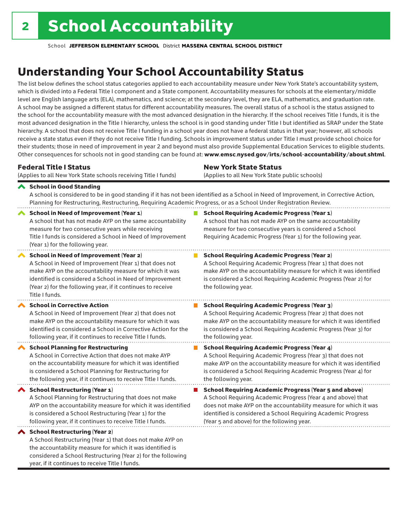# Understanding Your School Accountability Status

The list below defines the school status categories applied to each accountability measure under New York State's accountability system, which is divided into a Federal Title I component and a State component. Accountability measures for schools at the elementary/middle level are English language arts (ELA), mathematics, and science; at the secondary level, they are ELA, mathematics, and graduation rate. A school may be assigned a different status for different accountability measures. The overall status of a school is the status assigned to the school for the accountability measure with the most advanced designation in the hierarchy. If the school receives Title I funds, it is the most advanced designation in the Title I hierarchy, unless the school is in good standing under Title I but identified as SRAP under the State hierarchy. A school that does not receive Title I funding in a school year does not have a federal status in that year; however, all schools receive a state status even if they do not receive Title I funding. Schools in improvement status under Title I must provide school choice for their students; those in need of improvement in year 2 and beyond must also provide Supplemental Education Services to eligible students. Other consequences for schools not in good standing can be found at: www.emsc.nysed.gov/irts/school-accountability/about.shtml.

| <b>Federal Title I Status</b>                                                                                                                                                                                                                                                                                   | <b>New York State Status</b>                                                                                                                                                                                                                                                      |  |  |  |
|-----------------------------------------------------------------------------------------------------------------------------------------------------------------------------------------------------------------------------------------------------------------------------------------------------------------|-----------------------------------------------------------------------------------------------------------------------------------------------------------------------------------------------------------------------------------------------------------------------------------|--|--|--|
| (Applies to all New York State schools receiving Title I funds)                                                                                                                                                                                                                                                 | (Applies to all New York State public schools)                                                                                                                                                                                                                                    |  |  |  |
| School in Good Standing<br>Planning for Restructuring, Restructuring, Requiring Academic Progress, or as a School Under Registration Review.                                                                                                                                                                    | A school is considered to be in good standing if it has not been identified as a School in Need of Improvement, in Corrective Action,                                                                                                                                             |  |  |  |
| School in Need of Improvement (Year 1)<br>A school that has not made AYP on the same accountability<br>measure for two consecutive years while receiving<br>Title I funds is considered a School in Need of Improvement<br>(Year 1) for the following year.                                                     | <b>School Requiring Academic Progress (Year 1)</b><br>A school that has not made AYP on the same accountability<br>measure for two consecutive years is considered a School<br>Requiring Academic Progress (Year 1) for the following year.                                       |  |  |  |
| <b>School in Need of Improvement (Year 2)</b><br>A School in Need of Improvement (Year 1) that does not<br>make AYP on the accountability measure for which it was<br>identified is considered a School in Need of Improvement<br>(Year 2) for the following year, if it continues to receive<br>Title I funds. | <b>School Requiring Academic Progress (Year 2)</b><br>A School Requiring Academic Progress (Year 1) that does not<br>make AYP on the accountability measure for which it was identified<br>is considered a School Requiring Academic Progress (Year 2) for<br>the following year. |  |  |  |
| <b>School in Corrective Action</b>                                                                                                                                                                                                                                                                              | <b>School Requiring Academic Progress (Year 3)</b>                                                                                                                                                                                                                                |  |  |  |
| A School in Need of Improvement (Year 2) that does not                                                                                                                                                                                                                                                          | A School Requiring Academic Progress (Year 2) that does not                                                                                                                                                                                                                       |  |  |  |
| make AYP on the accountability measure for which it was                                                                                                                                                                                                                                                         | make AYP on the accountability measure for which it was identified                                                                                                                                                                                                                |  |  |  |
| identified is considered a School in Corrective Action for the                                                                                                                                                                                                                                                  | is considered a School Requiring Academic Progress (Year 3) for                                                                                                                                                                                                                   |  |  |  |
| following year, if it continues to receive Title I funds.                                                                                                                                                                                                                                                       | the following year.                                                                                                                                                                                                                                                               |  |  |  |
| <b>School Planning for Restructuring</b>                                                                                                                                                                                                                                                                        | <b>School Requiring Academic Progress (Year 4)</b>                                                                                                                                                                                                                                |  |  |  |
| A School in Corrective Action that does not make AYP                                                                                                                                                                                                                                                            | A School Requiring Academic Progress (Year 3) that does not                                                                                                                                                                                                                       |  |  |  |
| on the accountability measure for which it was identified                                                                                                                                                                                                                                                       | make AYP on the accountability measure for which it was identified                                                                                                                                                                                                                |  |  |  |
| is considered a School Planning for Restructuring for                                                                                                                                                                                                                                                           | is considered a School Requiring Academic Progress (Year 4) for                                                                                                                                                                                                                   |  |  |  |
| the following year, if it continues to receive Title I funds.                                                                                                                                                                                                                                                   | the following year.                                                                                                                                                                                                                                                               |  |  |  |
| School Restructuring (Year 1)                                                                                                                                                                                                                                                                                   | <b>School Requiring Academic Progress (Year 5 and above)</b>                                                                                                                                                                                                                      |  |  |  |
| A School Planning for Restructuring that does not make                                                                                                                                                                                                                                                          | A School Requiring Academic Progress (Year 4 and above) that                                                                                                                                                                                                                      |  |  |  |
| AYP on the accountability measure for which it was identified                                                                                                                                                                                                                                                   | does not make AYP on the accountability measure for which it was                                                                                                                                                                                                                  |  |  |  |
| is considered a School Restructuring (Year 1) for the                                                                                                                                                                                                                                                           | identified is considered a School Requiring Academic Progress                                                                                                                                                                                                                     |  |  |  |
| following year, if it continues to receive Title I funds.                                                                                                                                                                                                                                                       | (Year 5 and above) for the following year.                                                                                                                                                                                                                                        |  |  |  |
| ◆ School Restructuring (Year 2)<br>A School Restructuring (Year 1) that does not make AYP on<br>the accountability measure for which it was identified is                                                                                                                                                       |                                                                                                                                                                                                                                                                                   |  |  |  |

considered a School Restructuring (Year 2) for the following year, if it continues to receive Title I funds.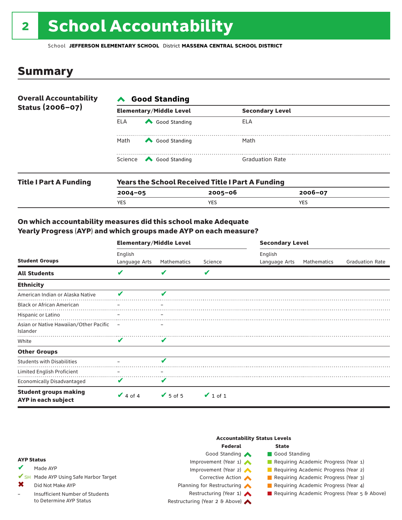# 2 School Accountability

School **JEFFERSON ELEMENTARY SCHOOL** District **MASSENA CENTRAL SCHOOL DISTRICT**

### Summary

| <b>Overall Accountability</b><br>Status (2006-07) | <b>∧</b> Good Standing |                                                         |                        |  |  |  |
|---------------------------------------------------|------------------------|---------------------------------------------------------|------------------------|--|--|--|
|                                                   |                        | <b>Elementary/Middle Level</b>                          | <b>Secondary Level</b> |  |  |  |
|                                                   | ELA                    | Good Standing                                           | ELA                    |  |  |  |
|                                                   | Math                   | Good Standing                                           | Math                   |  |  |  |
|                                                   |                        | Science <a> Good Standing</a>                           | <b>Graduation Rate</b> |  |  |  |
| <b>Title I Part A Funding</b>                     |                        | <b>Years the School Received Title I Part A Funding</b> |                        |  |  |  |

| <b>Title Part A Funding</b> |             | rears the School Received Title Fraft A Funding |             |  |  |  |  |
|-----------------------------|-------------|-------------------------------------------------|-------------|--|--|--|--|
|                             | $2004 - 05$ | 2005–06                                         | $2006 - 07$ |  |  |  |  |
|                             | <b>YES</b>  | YES                                             | <b>YES</b>  |  |  |  |  |
|                             |             |                                                 |             |  |  |  |  |

### On which accountability measures did this school make Adequate Yearly Progress (AYP) and which groups made AYP on each measure?

|                                                     | <b>Elementary/Middle Level</b> |                 |               | <b>Secondary Level</b>   |             |                        |  |
|-----------------------------------------------------|--------------------------------|-----------------|---------------|--------------------------|-------------|------------------------|--|
| <b>Student Groups</b>                               | English<br>Language Arts       | Mathematics     | Science       | English<br>Language Arts | Mathematics | <b>Graduation Rate</b> |  |
| <b>All Students</b>                                 | v                              |                 | V             |                          |             |                        |  |
| <b>Ethnicity</b>                                    |                                |                 |               |                          |             |                        |  |
| American Indian or Alaska Native                    | $\overline{\mathbf{A}}$        | V               |               |                          |             |                        |  |
| <b>Black or African American</b>                    |                                | -               |               | .                        |             |                        |  |
| Hispanic or Latino                                  |                                |                 |               |                          |             |                        |  |
| Asian or Native Hawaiian/Other Pacific<br>Islander  |                                |                 |               |                          |             |                        |  |
| White                                               | v                              | V               |               |                          |             |                        |  |
| <b>Other Groups</b>                                 |                                |                 |               |                          |             |                        |  |
| <b>Students with Disabilities</b>                   |                                | V               |               |                          |             |                        |  |
| Limited English Proficient                          |                                |                 |               |                          |             |                        |  |
| <b>Economically Disadvantaged</b>                   | v                              | V               |               |                          |             |                        |  |
| <b>Student groups making</b><br>AYP in each subject | $\vee$ 4 of 4                  | $\sqrt{5}$ of 5 | $\vee$ 1 of 1 |                          |             |                        |  |

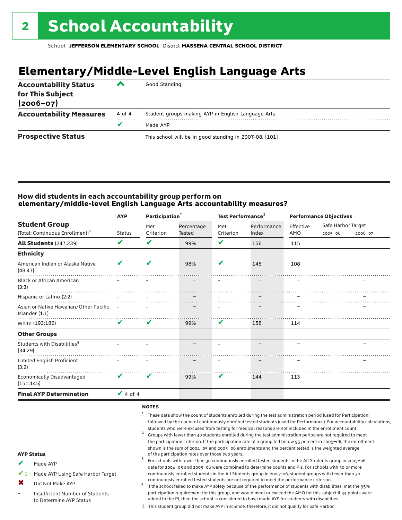# **Elementary/Middle-Level English Language Arts**

| <b>Accountability Status</b><br>for This Subject<br>$(2006 - 07)$ | ▰      | Good Standing                                          |
|-------------------------------------------------------------------|--------|--------------------------------------------------------|
| <b>Accountability Measures</b>                                    | 4 of 4 | Student groups making AYP in English Language Arts     |
|                                                                   | v      | Made AYP                                               |
| <b>Prospective Status</b>                                         |        | This school will be in good standing in 2007-08. [101] |

#### How did students in each accountability group perform on **elementary/middle-level English Language Arts accountability measures?**

|                                                              | <b>AYP</b>                 | Participation <sup>2</sup> |               | Test Performance <sup>3</sup> |                          | <b>Performance Objectives</b> |                    |         |
|--------------------------------------------------------------|----------------------------|----------------------------|---------------|-------------------------------|--------------------------|-------------------------------|--------------------|---------|
| <b>Student Group</b>                                         |                            | Met                        | Percentage    | Met                           | Performance              | Effective                     | Safe Harbor Target |         |
| (Total: Continuous Enrollment) <sup>1</sup>                  | <b>Status</b>              | Criterion                  | <b>Tested</b> | Criterion                     | Index                    | AMO                           | $2005 - 06$        | 2006-07 |
| <b>All Students (247:239)</b>                                | V                          | V                          | 99%           | V                             | 156                      | 115                           |                    |         |
| <b>Ethnicity</b>                                             |                            |                            |               |                               |                          |                               |                    |         |
| American Indian or Alaska Native<br>(48:47)                  | V                          | V                          | 98%           | V                             | 145                      | 108                           |                    |         |
| <b>Black or African American</b><br>(3:3)                    |                            |                            |               |                               |                          |                               |                    |         |
| Hispanic or Latino (2:2)                                     |                            |                            |               |                               |                          |                               |                    |         |
| Asian or Native Hawaiian/Other Pacific -<br>Islander $(1:1)$ |                            |                            |               |                               |                          |                               |                    |         |
| White (193:186)                                              | V                          | ✔                          | 99%           | V                             | 158                      | 114                           |                    |         |
| <b>Other Groups</b>                                          |                            |                            |               |                               |                          |                               |                    |         |
| Students with Disabilities <sup>4</sup><br>(34:29)           |                            |                            |               |                               | $\overline{\phantom{0}}$ | $\qquad \qquad$               |                    |         |
| Limited English Proficient<br>(3:2)                          |                            |                            |               |                               |                          |                               |                    |         |
| Economically Disadvantaged<br>(151:145)                      | $\boldsymbol{\mathcal{U}}$ | ✔                          | 99%           | V                             | 144                      | 113                           |                    |         |
| <b>Final AYP Determination</b>                               | $\vee$ 4 of 4              |                            |               |                               |                          |                               |                    |         |
|                                                              |                            |                            |               |                               |                          |                               |                    |         |

#### notes

- <sup>1</sup> These data show the count of students enrolled during the test administration period (used for Participation) followed by the count of continuously enrolled tested students (used for Performance). For accountability calculations,
- students who were excused from testing for medical reasons are not included in the enrollment count.<br><sup>2</sup> Groups with fewer than 40 students enrolled during the test administration period are not required to meet the participation criterion. If the participation rate of a group fell below 95 percent in 2005–06, the enrollment shown is the sum of 2004–05 and 2005–06 enrollments and the percent tested is the weighted average<br>of the participation rates over those two years.
- of the participation rates over those two years. <sup>3</sup> For schools with fewer than 30 continuously enrolled tested students in the All Students group in 2005–06, data for 2004–05 and 2005–06 were combined to determine counts and PIs. For schools with 30 or more continuously enrolled students in the All Students group in 2005–06, student groups with fewer than 30
- continuously enrolled tested students are not required to meet the performance criterion.<br>If the school failed to make AYP solely because of the performance of students with disabilities, met the 95% participation requirement for this group, and would meet or exceed the AMO for this subject if 34 points were added to the PI, then the school is considered to have made AYP for students with disabilities.
- ‡ This student group did not make AYP in science; therefore, it did not qualify for Safe Harbor.

#### AYP Status

- Made AYP ✔
- ✔SH Made AYP Using Safe Harbor Target
- Did Not Make AYP ✖
- Insufficient Number of Students to Determine AYP Status –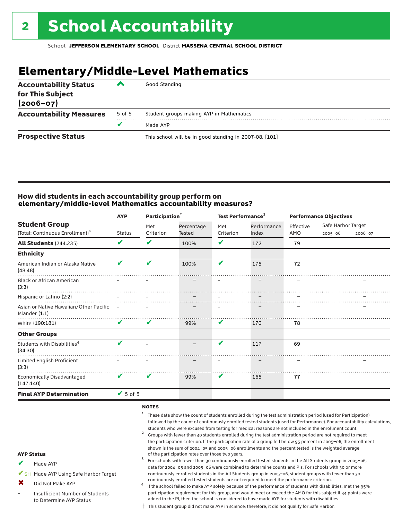# **Elementary/Middle-Level Mathematics**

| <b>Accountability Status</b><br>for This Subject<br>$(2006 - 07)$ | ▰      | Good Standing                                          |
|-------------------------------------------------------------------|--------|--------------------------------------------------------|
| <b>Accountability Measures</b>                                    | 5 of 5 | Student groups making AYP in Mathematics               |
|                                                                   |        | Made AYP                                               |
| <b>Prospective Status</b>                                         |        | This school will be in good standing in 2007-08. [101] |

#### How did students in each accountability group perform on **elementary/middle-level Mathematics accountability measures?**

|                                                              | <b>AYP</b>      | Participation <sup>2</sup> |            | Test Performance <sup>3</sup> |             | <b>Performance Objectives</b> |                    |         |
|--------------------------------------------------------------|-----------------|----------------------------|------------|-------------------------------|-------------|-------------------------------|--------------------|---------|
| <b>Student Group</b>                                         |                 | Met                        | Percentage | Met                           | Performance | Effective                     | Safe Harbor Target |         |
| (Total: Continuous Enrollment) <sup>1</sup>                  | <b>Status</b>   | Criterion                  | Tested     | Criterion                     | Index       | AMO                           | $2005 - 06$        | 2006-07 |
| <b>All Students (244:235)</b>                                | V               | V                          | 100%       | V                             | 172         | 79                            |                    |         |
| <b>Ethnicity</b>                                             |                 |                            |            |                               |             |                               |                    |         |
| American Indian or Alaska Native<br>(48:48)                  | V               | ✔                          | 100%       | V                             | 175         | 72                            |                    |         |
| <b>Black or African American</b><br>(3:3)                    |                 |                            |            |                               |             |                               |                    |         |
| Hispanic or Latino (2:2)                                     |                 |                            |            |                               |             |                               |                    |         |
| Asian or Native Hawaiian/Other Pacific –<br>Islander $(1:1)$ |                 |                            |            |                               |             |                               |                    |         |
| White (190:181)                                              | V               | V                          | 99%        | V                             | 170         | 78                            |                    |         |
| <b>Other Groups</b>                                          |                 |                            |            |                               |             |                               |                    |         |
| Students with Disabilities <sup>4</sup><br>(34:30)           | V               |                            |            | V                             | 117         | 69                            |                    |         |
| Limited English Proficient<br>(3:3)                          |                 |                            |            |                               |             |                               |                    |         |
| <b>Economically Disadvantaged</b><br>(147:140)               | V               | V                          | 99%        | V                             | 165         | 77                            |                    |         |
| <b>Final AYP Determination</b>                               | $\sqrt{5}$ of 5 |                            |            |                               |             |                               |                    |         |
|                                                              |                 |                            |            |                               |             |                               |                    |         |

#### notes

- <sup>1</sup> These data show the count of students enrolled during the test administration period (used for Participation) followed by the count of continuously enrolled tested students (used for Performance). For accountability calculations,
	- students who were excused from testing for medical reasons are not included in the enrollment count.<br><sup>2</sup> Groups with fewer than 40 students enrolled during the test administration period are not required to meet the participation criterion. If the participation rate of a group fell below 95 percent in 2005–06, the enrollment shown is the sum of 2004–05 and 2005–06 enrollments and the percent tested is the weighted average<br>of the participation rates over those two years. of the participation rates over those two years. <sup>3</sup> For schools with fewer than 30 continuously enrolled tested students in the All Students group in 2005–06,

Made AYP ✔

✔SH Made AYP Using Safe Harbor Target

Did Not Make AYP ✖

AYP Status

Insufficient Number of Students to Determine AYP Status –

continuously enrolled tested students are not required to meet the performance criterion. <sup>4</sup> If the school failed to make AYP solely because of the performance of students with disabilities, met the 95% participation requirement for this group, and would meet or exceed the AMO for this subject if 34 points were added to the PI, then the school is considered to have made AYP for students with disabilities.

data for 2004–05 and 2005–06 were combined to determine counts and PIs. For schools with 30 or more continuously enrolled students in the All Students group in 2005–06, student groups with fewer than 30

‡ This student group did not make AYP in science; therefore, it did not qualify for Safe Harbor.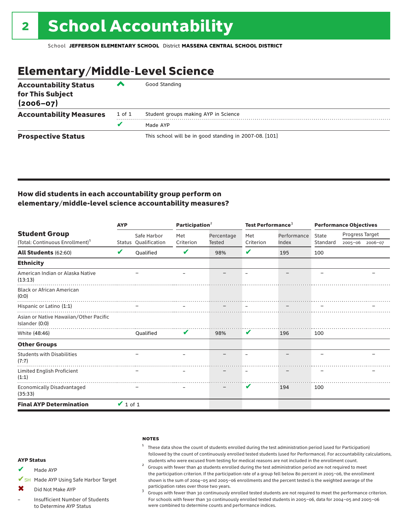# Elementary/Middle-Level Science

| <b>Accountability Status</b><br>for This Subject<br>$(2006 - 07)$ | ▞      | Good Standing                                          |
|-------------------------------------------------------------------|--------|--------------------------------------------------------|
| <b>Accountability Measures</b>                                    | 1 of 1 | Student groups making AYP in Science                   |
|                                                                   | v      | Made AYP                                               |
| <b>Prospective Status</b>                                         |        | This school will be in good standing in 2007-08. [101] |

### How did students in each accountability group perform on elementary/middle-level science accountability measures?

|                                                          | <b>AYP</b>    |                      | Participation <sup>2</sup> |            | Test Performance <sup>3</sup> |             | <b>Performance Objectives</b> |                 |  |
|----------------------------------------------------------|---------------|----------------------|----------------------------|------------|-------------------------------|-------------|-------------------------------|-----------------|--|
| <b>Student Group</b>                                     |               | Safe Harbor          | Met                        | Percentage | Met                           | Performance | State                         | Progress Target |  |
| (Total: Continuous Enrollment) <sup>1</sup>              |               | Status Qualification | Criterion                  | Tested     | Criterion                     | Index       | Standard                      | 2005-06 2006-07 |  |
| <b>All Students (62:60)</b>                              | V             | Oualified            | V                          | 98%        | V                             | 195         | 100                           |                 |  |
| <b>Ethnicity</b>                                         |               |                      |                            |            |                               |             |                               |                 |  |
| American Indian or Alaska Native<br>(13:13)              |               |                      |                            |            |                               |             |                               |                 |  |
| <b>Black or African American</b><br>(0:0)                |               |                      |                            |            |                               |             |                               |                 |  |
| Hispanic or Latino (1:1)                                 |               |                      |                            |            |                               |             |                               |                 |  |
| Asian or Native Hawaiian/Other Pacific<br>Islander (0:0) |               |                      |                            |            |                               |             |                               |                 |  |
| White (48:46)                                            |               | Oualified            | V                          | 98%        | V                             | 196         | 100                           |                 |  |
| <b>Other Groups</b>                                      |               |                      |                            |            |                               |             |                               |                 |  |
| <b>Students with Disabilities</b><br>(7:7)               |               |                      |                            |            |                               |             |                               |                 |  |
| Limited English Proficient<br>(1:1)                      |               |                      |                            |            |                               |             |                               |                 |  |
| <b>Economically Disadvantaged</b><br>(35:33)             |               |                      |                            |            | V                             | 194         | 100                           |                 |  |
| <b>Final AYP Determination</b>                           | $\vee$ 1 of 1 |                      |                            |            |                               |             |                               |                 |  |

#### **NOTES**

#### $1$  These data show the count of students enrolled during the test administration period (used for Participation) followed by the count of continuously enrolled tested students (used for Performance). For accountability calculations,

# students who were excused from testing for medical reasons are not included in the enrollment count.<br><sup>2</sup> Groups with fewer than 40 students enrolled during the test administration period are not required to meet

the participation criterion. If the participation rate of a group fell below 80 percent in 2005–06, the enrollment shown is the sum of 2004–05 and 2005–06 enrollments and the percent tested is the weighted average of the

participation rates over those two years.<br><sup>3</sup> Groups with fewer than 30 continuously enrolled tested students are not required to meet the performance criterion. For schools with fewer than 30 continuously enrolled tested students in 2005–06, data for 2004–05 and 2005–06 were combined to determine counts and performance indices.

#### AYP Status

Made AYP ✔

✔SH Made AYP Using Safe Harbor Target

Did Not Make AYP  $\mathbf x$ 

Insufficient Number of Students to Determine AYP Status –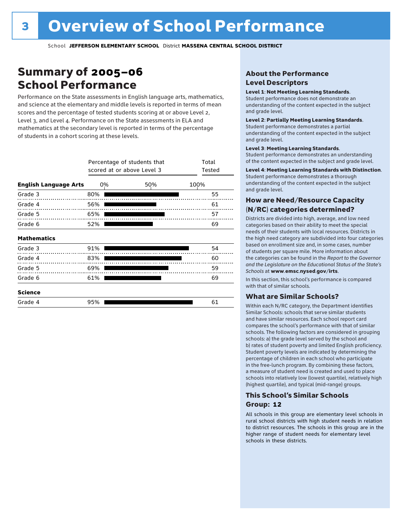### Summary of 2005–06 School Performance

Performance on the State assessments in English language arts, mathematics, and science at the elementary and middle levels is reported in terms of mean scores and the percentage of tested students scoring at or above Level 2, Level 3, and Level 4. Performance on the State assessments in ELA and mathematics at the secondary level is reported in terms of the percentage of students in a cohort scoring at these levels.

|                              | Percentage of students that<br>scored at or above Level 3 | Total<br>Tested |      |
|------------------------------|-----------------------------------------------------------|-----------------|------|
| <b>English Language Arts</b> | 0%                                                        | 50%             | 100% |
| Grade 3                      | 80%                                                       |                 | 55   |
| Grade 4                      | 56%                                                       |                 | 61   |
| Grade 5                      | 65%                                                       |                 | 57   |
| Grade 6                      | 52%                                                       |                 | 69   |
| <b>Mathematics</b>           |                                                           |                 |      |
| Grade 3                      | 91%                                                       |                 | 54   |
| Grade 4                      | 83%                                                       |                 | 60   |
| Grade 5                      | 69%                                                       |                 | 59   |
| Grade 6                      | 61%                                                       |                 | 69   |
| <b>Science</b>               |                                                           |                 |      |
| Grade 4                      | 95%                                                       |                 | 61   |

### About the Performance Level Descriptors

#### Level 1: Not Meeting Learning Standards.

Student performance does not demonstrate an understanding of the content expected in the subject and grade level.

#### Level 2: Partially Meeting Learning Standards.

Student performance demonstrates a partial understanding of the content expected in the subject and grade level.

#### Level 3: Meeting Learning Standards.

Student performance demonstrates an understanding of the content expected in the subject and grade level.

#### Level 4: Meeting Learning Standards with Distinction.

Student performance demonstrates a thorough understanding of the content expected in the subject and grade level.

#### How are Need/Resource Capacity (N/RC) categories determined?

Districts are divided into high, average, and low need categories based on their ability to meet the special needs of their students with local resources. Districts in the high need category are subdivided into four categories based on enrollment size and, in some cases, number of students per square mile. More information about the categories can be found in the *Report to the Governor and the Legislature on the Educational Status of the State's Schools* at www.emsc.nysed.gov/irts.

In this section, this school's performance is compared with that of similar schools.

#### What are Similar Schools?

Within each N/RC category, the Department identifies Similar Schools: schools that serve similar students and have similar resources. Each school report card compares the school's performance with that of similar schools. The following factors are considered in grouping schools: a) the grade level served by the school and b) rates of student poverty and limited English proficiency. Student poverty levels are indicated by determining the percentage of children in each school who participate in the free-lunch program. By combining these factors, a measure of student need is created and used to place schools into relatively low (lowest quartile), relatively high (highest quartile), and typical (mid-range) groups.

#### This School's Similar Schools Group: **12**

All schools in this group are elementary level schools in rural school districts with high student needs in relation to district resources. The schools in this group are in the higher range of student needs for elementary level schools in these districts.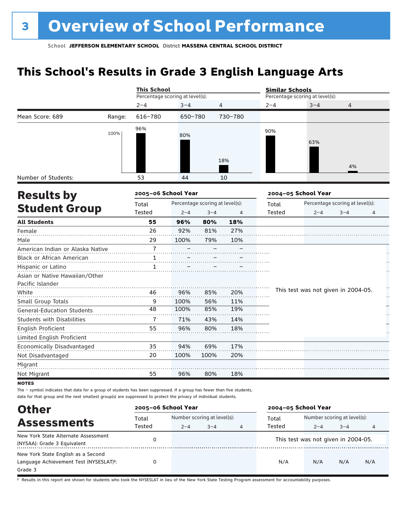## **This School's Results in Grade 3 English Language Arts**

|                                                    |        | <b>This School</b>                                                 |                                 |         |         | <b>Similar Schools</b> |                                     |                                 |    |
|----------------------------------------------------|--------|--------------------------------------------------------------------|---------------------------------|---------|---------|------------------------|-------------------------------------|---------------------------------|----|
|                                                    |        | Percentage scoring at level(s):<br>Percentage scoring at level(s): |                                 |         |         |                        |                                     |                                 |    |
|                                                    |        | $2 - 4$                                                            | $3 - 4$                         |         | 4       | $2 - 4$                | $3 - 4$                             | $\overline{4}$                  |    |
| Mean Score: 689                                    | Range: | 616-780                                                            | 650-780                         |         | 730-780 |                        |                                     |                                 |    |
|                                                    | 100%   | 96%                                                                | 80%                             |         |         | 90%                    | 63%                                 |                                 |    |
|                                                    |        |                                                                    |                                 |         | 18%     |                        |                                     | 4%                              |    |
| Number of Students:                                |        | 53                                                                 | 44                              |         | 10      |                        |                                     |                                 |    |
| <b>Results by</b>                                  |        | 2005-06 School Year                                                |                                 |         |         |                        | 2004-05 School Year                 |                                 |    |
|                                                    |        | Total                                                              | Percentage scoring at level(s): |         |         | Total                  |                                     | Percentage scoring at level(s): |    |
| <b>Student Group</b>                               |        | Tested                                                             | $2 - 4$                         | $3 - 4$ | 4       | Tested                 | $2 - 4$                             | $3 - 4$                         | 4  |
| <b>All Students</b>                                |        | 55                                                                 | 96%                             | 80%     | 18%     |                        |                                     |                                 |    |
| Female                                             |        | 26                                                                 | 92%                             | 81%     | 27%     |                        |                                     |                                 |    |
| Male                                               |        | 29                                                                 | 100%                            | 79%     | 10%     |                        |                                     |                                 |    |
| American Indian or Alaska Native                   |        | $\overline{1}$                                                     |                                 |         |         |                        |                                     |                                 |    |
| Black or African American                          |        | $\mathbf{1}$                                                       |                                 |         |         |                        |                                     |                                 |    |
| Hispanic or Latino                                 |        | 1                                                                  |                                 |         |         |                        |                                     |                                 |    |
| Asian or Native Hawaiian/Other<br>Pacific Islander |        |                                                                    |                                 |         |         |                        |                                     |                                 |    |
| White                                              |        | 46                                                                 | 96%                             | 85%     | 20%     |                        | This test was not given in 2004-05. |                                 | μ, |
| Small Group Totals                                 |        | 9                                                                  | 100%                            | 56%     | 11%     |                        |                                     |                                 |    |
| <b>General-Education Students</b>                  |        | 48                                                                 | 100%                            | 85%     | 19%     |                        |                                     |                                 |    |
| <b>Students with Disabilities</b>                  |        | $\overline{1}$                                                     | 71%                             | 43%     | 14%     |                        |                                     |                                 |    |
| English Proficient                                 |        | 55                                                                 | 96%                             | 80%     | 18%     |                        |                                     |                                 |    |
| Limited English Proficient                         |        |                                                                    |                                 |         |         |                        |                                     |                                 |    |
| Economically Disadvantaged                         |        | 35                                                                 | 94%                             | 69%     | 17%     |                        |                                     |                                 |    |
| Not Disadvantaged                                  |        | 20                                                                 | 100%                            | 100%    | 20%     |                        |                                     |                                 |    |
| Migrant                                            |        |                                                                    |                                 |         |         |                        |                                     |                                 |    |
| Not Migrant                                        |        | 55                                                                 | 96%                             | 80%     | 18%     |                        |                                     |                                 |    |
| ----                                               |        |                                                                    |                                 |         |         |                        |                                     |                                 |    |

**NOTES** 

The – symbol indicates that data for a group of students has been suppressed. If a group has fewer than five students, data for that group and the next smallest group(s) are suppressed to protect the privacy of individual students.

| <b>Other</b>                                                                            | 2005-06 School Year |                                                        |  |  | 2004-05 School Year |                                        |         |     |
|-----------------------------------------------------------------------------------------|---------------------|--------------------------------------------------------|--|--|---------------------|----------------------------------------|---------|-----|
| <b>Assessments</b>                                                                      | Total<br>Tested     | Number scoring at level(s):<br>$3 - 4$<br>$2 - 4$<br>4 |  |  | Total<br>Tested     | Number scoring at level(s):<br>$2 - 4$ | $3 - 4$ | 4   |
| New York State Alternate Assessment<br>(NYSAA): Grade 3 Equivalent                      |                     |                                                        |  |  |                     | This test was not given in 2004-05.    |         |     |
| New York State English as a Second<br>Language Achievement Test (NYSESLAT)t:<br>Grade 3 |                     |                                                        |  |  | N/A                 | N/A                                    | N/A     | N/A |

† Results in this report are shown for students who took the NYSESLAT in lieu of the New York State Testing Program assessment for accountability purposes.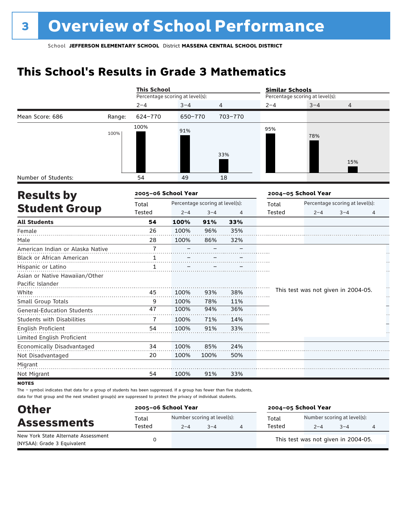## **This School's Results in Grade 3 Mathematics**

|                                                    |        | <b>This School</b>              |                                 |         |                | <b>Similar Schools</b> |                                     |                                 |    |  |
|----------------------------------------------------|--------|---------------------------------|---------------------------------|---------|----------------|------------------------|-------------------------------------|---------------------------------|----|--|
|                                                    |        | Percentage scoring at level(s): |                                 |         |                |                        | Percentage scoring at level(s):     |                                 |    |  |
|                                                    |        | $2 - 4$                         | $3 - 4$                         |         | $\overline{4}$ | $2 - 4$                | $3 - 4$                             | 4                               |    |  |
| Mean Score: 686                                    | Range: | 624-770                         | 650-770                         |         | 703-770        |                        |                                     |                                 |    |  |
|                                                    | 100%   | 100%                            | 91%                             |         | 33%            | 95%                    | 78%                                 | 15%                             |    |  |
| Number of Students:                                |        | 54                              | 49                              |         | 18             |                        |                                     |                                 |    |  |
| <b>Results by</b>                                  |        | 2005-06 School Year             |                                 |         |                |                        | 2004-05 School Year                 |                                 |    |  |
|                                                    |        | Total                           | Percentage scoring at level(s): |         |                | Total                  |                                     | Percentage scoring at level(s): |    |  |
| <b>Student Group</b>                               |        | Tested                          | $2 - 4$                         | $3 - 4$ | 4              | Tested                 | $2 - 4$                             | $3 - 4$                         | 4  |  |
| <b>All Students</b>                                |        | 54                              | 100%                            | 91%     | 33%            |                        |                                     |                                 |    |  |
| Female                                             |        | 26                              | 100%                            | 96%     | 35%            |                        |                                     |                                 |    |  |
| Male                                               |        | 28                              | 100%                            | 86%     | 32%            |                        |                                     |                                 |    |  |
| American Indian or Alaska Native                   |        | $\overline{1}$                  |                                 |         |                |                        |                                     |                                 |    |  |
| <b>Black or African American</b>                   |        | 1<br>.                          |                                 |         |                |                        |                                     |                                 |    |  |
| Hispanic or Latino                                 |        | 1                               |                                 |         |                |                        |                                     |                                 |    |  |
| Asian or Native Hawaiian/Other<br>Pacific Islander |        |                                 |                                 |         |                |                        |                                     |                                 |    |  |
| White                                              |        | 45                              | 100%                            | 93%     | 38%            |                        | This test was not given in 2004-05. |                                 |    |  |
| Small Group Totals                                 |        | 9                               | 100%                            | 78%     | 11%            |                        |                                     |                                 | μ, |  |
| <b>General-Education Students</b>                  |        | 47                              | 100%                            | 94%     | 36%            |                        |                                     |                                 |    |  |
| <b>Students with Disabilities</b>                  |        | 7                               | 100%                            | 71%     | 14%            |                        |                                     |                                 |    |  |
| English Proficient                                 |        | 54                              | 100%                            | 91%     | 33%            |                        |                                     |                                 |    |  |
| Limited English Proficient                         |        |                                 |                                 |         |                |                        |                                     |                                 |    |  |
| Economically Disadvantaged                         |        | 34                              | 100%                            | 85%     | 24%            |                        |                                     |                                 |    |  |
| Not Disadvantaged                                  |        | 20                              | 100%                            | 100%    | 50%            |                        |                                     |                                 |    |  |
| Migrant                                            |        |                                 |                                 |         |                |                        |                                     |                                 |    |  |
| Not Migrant                                        |        | 54                              | 100%                            | 91%     | 33%            |                        |                                     |                                 |    |  |

**NOTES** 

| <b>Other</b>                                                       | 2005-06 School Year |         |                                        | 2004-05 School Year |                                        |         |  |  |
|--------------------------------------------------------------------|---------------------|---------|----------------------------------------|---------------------|----------------------------------------|---------|--|--|
| <b>Assessments</b>                                                 | Total<br>Tested     | $2 - 4$ | Number scoring at level(s):<br>$3 - 4$ | Total<br>Tested     | Number scoring at level(s):<br>$2 - 4$ | $3 - 4$ |  |  |
| New York State Alternate Assessment<br>(NYSAA): Grade 3 Equivalent |                     |         |                                        |                     | This test was not given in 2004-05.    |         |  |  |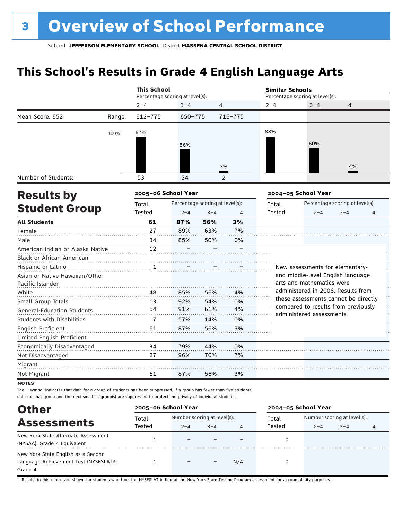### **This School's Results in Grade 4 English Language Arts**

|                                   |        | <b>This School</b>              |                                 |         |         | <b>Similar Schools</b> |                                                                  |                                 |              |
|-----------------------------------|--------|---------------------------------|---------------------------------|---------|---------|------------------------|------------------------------------------------------------------|---------------------------------|--------------|
|                                   |        | Percentage scoring at level(s): |                                 |         |         |                        | Percentage scoring at level(s):                                  |                                 |              |
|                                   |        | $2 - 4$                         | $3 - 4$                         | 4       |         | $2 - 4$                | $3 - 4$                                                          | 4                               |              |
| Mean Score: 652                   | Range: | $612 - 775$                     | 650-775                         |         | 716-775 |                        |                                                                  |                                 |              |
|                                   | 100%   | 87%                             |                                 |         |         | 88%                    |                                                                  |                                 |              |
|                                   |        |                                 | 56%                             |         |         |                        | 60%                                                              |                                 |              |
|                                   |        |                                 |                                 |         |         |                        |                                                                  |                                 |              |
|                                   |        |                                 |                                 |         | 3%      |                        |                                                                  | 4%                              |              |
| Number of Students:               |        | 53                              | 34                              |         | 2       |                        |                                                                  |                                 |              |
|                                   |        |                                 |                                 |         |         |                        |                                                                  |                                 |              |
| <b>Results by</b>                 |        | 2005-06 School Year             |                                 |         |         |                        | 2004-05 School Year                                              |                                 |              |
| <b>Student Group</b>              |        | Total                           | Percentage scoring at level(s): |         |         | Total                  |                                                                  | Percentage scoring at level(s): |              |
|                                   |        | Tested                          | $2 - 4$                         | $3 - 4$ | 4       | Tested                 | $2 - 4$                                                          | $3 - 4$                         | 4            |
| <b>All Students</b>               |        | 61                              | 87%                             | 56%     | 3%      |                        |                                                                  |                                 |              |
| Female                            |        | 27                              | 89%                             | 63%     | 7%      |                        |                                                                  |                                 |              |
| Male                              |        | 34                              | 85%                             | 50%     | 0%      |                        |                                                                  |                                 |              |
| American Indian or Alaska Native  |        | 12                              |                                 |         |         |                        |                                                                  |                                 |              |
| <b>Black or African American</b>  |        |                                 |                                 |         |         |                        |                                                                  |                                 |              |
| Hispanic or Latino                |        | 1                               |                                 |         |         |                        | New assessments for elementary-                                  |                                 |              |
| Asian or Native Hawaiian/Other    |        |                                 |                                 |         |         |                        | and middle-level English language                                |                                 |              |
| Pacific Islander                  |        |                                 |                                 |         |         |                        | arts and mathematics were                                        |                                 |              |
| White                             |        | 48                              | 85%                             | 56%     | 4%      |                        | administered in 2006. Results from                               |                                 | $\mathbf{r}$ |
| Small Group Totals                |        | 13                              | 92%                             | 54%     | 0%      |                        | these assessments cannot be directly                             |                                 |              |
| <b>General-Education Students</b> |        | 54                              | 91%                             | 61%     | 4%      |                        | compared to results from previously<br>administered assessments. |                                 | μ,           |
| <b>Students with Disabilities</b> |        | 7                               | 57%                             | 14%     | 0%      |                        |                                                                  |                                 |              |
| <b>English Proficient</b>         |        | 61                              | 87%                             | 56%     | 3%      |                        |                                                                  |                                 |              |
| Limited English Proficient        |        |                                 |                                 |         |         |                        |                                                                  |                                 |              |
| Economically Disadvantaged        |        | 34                              | 79%                             | 44%     | 0%      |                        |                                                                  |                                 |              |
| Not Disadvantaged                 |        | 27                              | 96%                             | 70%     | 7%      |                        |                                                                  |                                 |              |
| Migrant                           |        |                                 |                                 |         |         |                        |                                                                  |                                 |              |
| Not Migrant                       |        | 61                              | 87%                             | 56%     | 3%      |                        |                                                                  |                                 |              |
| <b>NOTES</b>                      |        |                                 |                                 |         |         |                        |                                                                  |                                 |              |

The – symbol indicates that data for a group of students has been suppressed. If a group has fewer than five students, data for that group and the next smallest group(s) are suppressed to protect the privacy of individual students.

| <b>Other</b>                                        | 2005-06 School Year |                             |         |     | 2004-05 School Year |                             |         |   |
|-----------------------------------------------------|---------------------|-----------------------------|---------|-----|---------------------|-----------------------------|---------|---|
| <b>Assessments</b>                                  | Total               | Number scoring at level(s): |         |     | Total               | Number scoring at level(s): |         |   |
|                                                     | Tested              | $2 - 4$                     | $3 - 4$ | 4   | Tested              | $2 - 4$                     | $3 - 4$ | 4 |
| New York State Alternate Assessment                 |                     | -                           |         |     |                     |                             |         |   |
| (NYSAA): Grade 4 Equivalent                         |                     |                             |         |     |                     |                             |         |   |
| New York State English as a Second                  |                     |                             |         |     |                     |                             |         |   |
| Language Achievement Test (NYSESLAT) <sup>+</sup> : |                     |                             |         | N/A |                     |                             |         |   |
| Grade 4                                             |                     |                             |         |     |                     |                             |         |   |

† Results in this report are shown for students who took the NYSESLAT in lieu of the New York State Testing Program assessment for accountability purposes.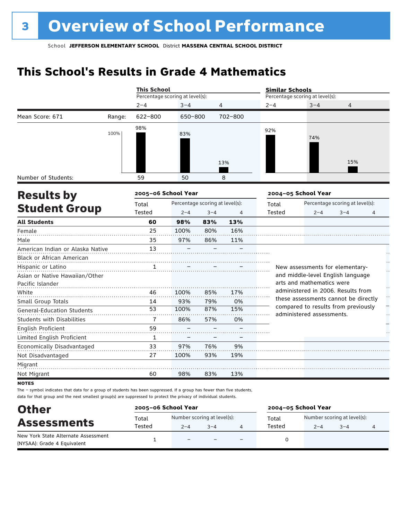## **This School's Results in Grade 4 Mathematics**

|                                   |        | <b>This School</b>              |                                 |         |         | <b>Similar Schools</b> |                                                                             |                                 |    |
|-----------------------------------|--------|---------------------------------|---------------------------------|---------|---------|------------------------|-----------------------------------------------------------------------------|---------------------------------|----|
|                                   |        | Percentage scoring at level(s): |                                 |         |         |                        | Percentage scoring at level(s):                                             |                                 |    |
|                                   |        | $2 - 4$                         | $3 - 4$                         | 4       |         | $2 - 4$                | $3 - 4$                                                                     | 4                               |    |
| Mean Score: 671                   | Range: | $622 - 800$                     | 650-800                         |         | 702-800 |                        |                                                                             |                                 |    |
|                                   | 100%   | 98%                             | 83%                             |         |         | 92%                    | 74%                                                                         |                                 |    |
|                                   |        |                                 |                                 |         | 13%     |                        |                                                                             | 15%                             |    |
| Number of Students:               |        | 59                              | 50                              |         | 8       |                        |                                                                             |                                 |    |
| <b>Results by</b>                 |        | 2005-06 School Year             |                                 |         |         |                        | 2004-05 School Year                                                         |                                 |    |
|                                   |        | Total                           | Percentage scoring at level(s): |         |         | Total                  |                                                                             | Percentage scoring at level(s): |    |
| <b>Student Group</b>              |        | Tested                          | $2 - 4$                         | $3 - 4$ | 4       | Tested                 | $2 - 4$                                                                     | $3 - 4$                         | 4  |
| <b>All Students</b>               |        | 60                              | 98%                             | 83%     | 13%     |                        |                                                                             |                                 |    |
| Female                            |        | 25                              | 100%                            | 80%     | 16%     |                        |                                                                             |                                 |    |
| Male                              |        | 35                              | 97%                             | 86%     | 11%     |                        |                                                                             |                                 |    |
| American Indian or Alaska Native  |        | 13                              |                                 |         |         |                        |                                                                             |                                 |    |
| <b>Black or African American</b>  |        |                                 |                                 |         |         |                        |                                                                             |                                 |    |
| Hispanic or Latino                |        | $\frac{1}{\cdots}$              |                                 |         |         |                        | New assessments for elementary-                                             |                                 |    |
| Asian or Native Hawaiian/Other    |        |                                 |                                 |         |         |                        | and middle-level English language                                           |                                 |    |
| Pacific Islander                  |        |                                 |                                 |         |         |                        | arts and mathematics were                                                   |                                 |    |
| White                             |        | 46                              | 100%                            | 85%     | 17%     |                        | administered in 2006. Results from                                          |                                 | H  |
| Small Group Totals                |        | 14                              | 93%                             | 79%     | 0%      |                        | these assessments cannot be directly<br>compared to results from previously |                                 | -  |
| <b>General-Education Students</b> |        | 53                              | 100%                            | 87%     | 15%     |                        | administered assessments.                                                   |                                 | Н, |
| <b>Students with Disabilities</b> |        | $\overline{1}$                  | 86%                             | 57%     | 0%      |                        |                                                                             |                                 |    |
| <b>English Proficient</b>         |        | 59                              |                                 |         |         |                        |                                                                             |                                 |    |
| Limited English Proficient        |        | 1                               |                                 |         |         |                        |                                                                             |                                 |    |
| Economically Disadvantaged        |        | 33                              | 97%                             | 76%     | 9%      |                        |                                                                             |                                 |    |
| Not Disadvantaged                 |        | 27                              | 100%                            | 93%     | 19%     |                        |                                                                             |                                 |    |
| Migrant                           |        |                                 |                                 |         |         |                        |                                                                             |                                 |    |
| Not Migrant                       |        | 60                              | 98%                             | 83%     | 13%     |                        |                                                                             |                                 |    |

**NOTES** 

| <b>Other</b>                                                       |                 | 2005-06 School Year                    |         |  |                 | 2004-05 School Year                    |         |  |  |
|--------------------------------------------------------------------|-----------------|----------------------------------------|---------|--|-----------------|----------------------------------------|---------|--|--|
| <b>Assessments</b>                                                 | Total<br>Tested | Number scoring at level(s):<br>$2 - 4$ | $3 - 4$ |  | Total<br>Tested | Number scoring at level(s):<br>$2 - 4$ | $3 - 4$ |  |  |
| New York State Alternate Assessment<br>(NYSAA): Grade 4 Equivalent |                 | $\overline{\phantom{0}}$               |         |  |                 |                                        |         |  |  |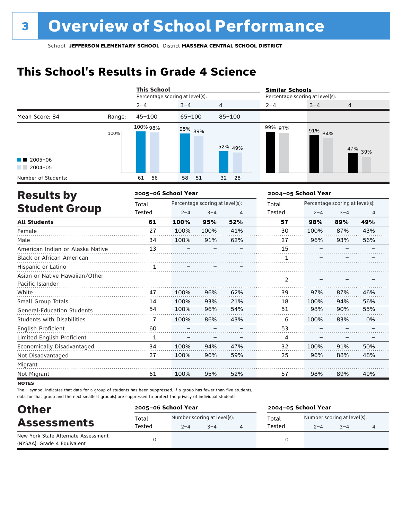# **This School's Results in Grade 4 Science**

|                            |        | <b>This School</b><br>Percentage scoring at level(s): |            |                | <b>Similar Schools</b><br>Percentage scoring at level(s): |         |                |  |
|----------------------------|--------|-------------------------------------------------------|------------|----------------|-----------------------------------------------------------|---------|----------------|--|
|                            |        | $2 - 4$                                               | $3 - 4$    | $\overline{4}$ | $2 - 4$                                                   | $3 - 4$ | $\overline{4}$ |  |
| Mean Score: 84             | Range: | $45 - 100$                                            | $65 - 100$ | $85 - 100$     |                                                           |         |                |  |
| $2005 - 06$<br>$2004 - 05$ | 100%   | 100% 98%                                              | 95% 89%    | 52% 49%        | 99% 97%                                                   | 91% 84% | 47% 39%        |  |
| Number of Students:        |        | 56<br>61                                              | 58<br>51   | 32<br>28       |                                                           |         |                |  |
|                            |        |                                                       |            |                |                                                           |         |                |  |

| <b>Results by</b>                 |              | 2005-06 School Year |                                 |     | 2004-05 School Year |                                 |         |                |
|-----------------------------------|--------------|---------------------|---------------------------------|-----|---------------------|---------------------------------|---------|----------------|
|                                   | Total        |                     | Percentage scoring at level(s): |     | Total               | Percentage scoring at level(s): |         |                |
| <b>Student Group</b>              | Tested       | $2 - 4$             | $3 - 4$                         | 4   | Tested              | $2 - 4$                         | $3 - 4$ | $\overline{4}$ |
| <b>All Students</b>               | 61           | 100%                | 95%                             | 52% | 57                  | 98%                             | 89%     | 49%            |
| Female                            | 27           | 100%                | 100%                            | 41% | 30                  | 100%                            | 87%     | 43%            |
| Male                              | 34           | 100%                | 91%                             | 62% | 27                  | 96%                             | 93%     | 56%            |
| American Indian or Alaska Native  | 13           |                     |                                 |     | 15                  |                                 |         |                |
| <b>Black or African American</b>  |              |                     |                                 |     |                     |                                 |         |                |
| Hispanic or Latino                | $\mathbf{1}$ |                     |                                 |     |                     |                                 |         |                |
| Asian or Native Hawaiian/Other    |              |                     |                                 |     | 2                   |                                 |         |                |
| Pacific Islander                  |              |                     |                                 |     |                     |                                 |         |                |
| White                             | 47           | 100%                | 96%                             | 62% | 39                  | 97%                             | 87%     | 46%            |
| Small Group Totals                | 14           | 100%                | 93%                             | 21% | 18                  | 100%                            | 94%     | 56%            |
| <b>General-Education Students</b> | 54           | 100%                | 96%                             | 54% | 51                  | 98%                             | 90%     | 55%            |
| <b>Students with Disabilities</b> | 7            | 100%                | 86%                             | 43% | 6                   | 100%                            | 83%     | 0%             |
| English Proficient                | 60           |                     |                                 |     | 53                  |                                 |         |                |
| Limited English Proficient        | 1            |                     |                                 |     | 4                   |                                 |         |                |
| Economically Disadvantaged        | 34           | 100%                | 94%                             | 47% | 32                  | 100%                            | 91%     | 50%            |
| Not Disadvantaged                 | 27           | 100%                | 96%                             | 59% | 25                  | 96%                             | 88%     | 48%            |
| Migrant                           |              |                     |                                 |     |                     |                                 |         |                |
| Not Migrant                       | 61           | 100%                | 95%                             | 52% | 57                  | 98%                             | 89%     | 49%            |

**NOTES** 

| <b>Other</b>                                                       | 2005-06 School Year |                                        |         | 2004-05 School Year |                                        |         |  |
|--------------------------------------------------------------------|---------------------|----------------------------------------|---------|---------------------|----------------------------------------|---------|--|
| <b>Assessments</b>                                                 | Total<br>Tested     | Number scoring at level(s):<br>$2 - 4$ | $3 - 4$ | Total<br>Tested     | Number scoring at level(s):<br>$2 - 4$ | $3 - 4$ |  |
| New York State Alternate Assessment<br>(NYSAA): Grade 4 Equivalent |                     |                                        |         |                     |                                        |         |  |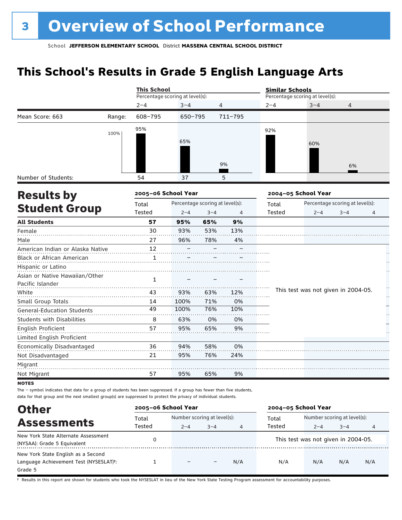## **This School's Results in Grade 5 English Language Arts**

|                                   |        | <b>This School</b>              |                                 |         |             |         | <b>Similar Schools</b>              |                                 |    |  |  |
|-----------------------------------|--------|---------------------------------|---------------------------------|---------|-------------|---------|-------------------------------------|---------------------------------|----|--|--|
|                                   |        | Percentage scoring at level(s): |                                 |         |             |         | Percentage scoring at level(s):     |                                 |    |  |  |
|                                   |        | $2 - 4$                         | $3 - 4$                         |         | 4           | $2 - 4$ | $3 - 4$                             | $\overline{4}$                  |    |  |  |
| Mean Score: 663                   | Range: | 608-795                         | 650-795                         |         | $711 - 795$ |         |                                     |                                 |    |  |  |
|                                   |        | 95%                             |                                 |         |             | 92%     |                                     |                                 |    |  |  |
|                                   | 100%   |                                 | 65%                             |         |             |         |                                     |                                 |    |  |  |
|                                   |        |                                 |                                 |         |             |         | 60%                                 |                                 |    |  |  |
|                                   |        |                                 |                                 |         |             |         |                                     |                                 |    |  |  |
|                                   |        |                                 |                                 |         | 9%          |         |                                     | 6%                              |    |  |  |
| Number of Students:               |        | 54                              | 37                              |         | 5           |         |                                     |                                 |    |  |  |
| <b>Results by</b>                 |        | 2005-06 School Year             |                                 |         |             |         | 2004-05 School Year                 |                                 |    |  |  |
|                                   |        | Total                           | Percentage scoring at level(s): |         |             | Total   |                                     | Percentage scoring at level(s): |    |  |  |
| <b>Student Group</b>              |        | Tested                          | $2 - 4$                         | $3 - 4$ | 4           | Tested  | $2 - 4$                             | $3 - 4$                         | 4  |  |  |
| <b>All Students</b>               |        | 57                              | 95%                             | 65%     | 9%          |         |                                     |                                 |    |  |  |
| Female                            |        | 30                              | 93%                             | 53%     | 13%         |         |                                     |                                 |    |  |  |
| Male                              |        | 27                              | 96%                             | 78%     | 4%          |         |                                     |                                 |    |  |  |
| American Indian or Alaska Native  |        | 12                              |                                 |         |             |         |                                     |                                 |    |  |  |
| Black or African American         |        | $\mathbf{1}$                    |                                 |         |             |         |                                     |                                 |    |  |  |
| Hispanic or Latino                |        |                                 |                                 |         |             |         |                                     |                                 |    |  |  |
| Asian or Native Hawaiian/Other    |        | $\mathbf{1}$                    |                                 |         |             |         |                                     |                                 |    |  |  |
| Pacific Islander                  |        |                                 |                                 |         |             |         |                                     |                                 | H  |  |  |
| White                             |        | 43                              | 93%                             | 63%     | 12%         |         | This test was not given in 2004-05. |                                 | μ, |  |  |
| Small Group Totals                |        | 14                              | 100%                            | 71%     | 0%          |         |                                     |                                 |    |  |  |
| <b>General-Education Students</b> |        | 49                              | 100%                            | 76%     | 10%         |         |                                     |                                 |    |  |  |
| <b>Students with Disabilities</b> |        | 8                               | 63%                             | 0%      | 0%          |         |                                     |                                 |    |  |  |
| English Proficient                |        | 57                              | 95%                             | 65%     | 9%          |         |                                     |                                 |    |  |  |
| Limited English Proficient        |        |                                 |                                 |         |             |         |                                     |                                 |    |  |  |
| Economically Disadvantaged        |        | 36                              | 94%                             | 58%     | 0%          |         |                                     |                                 |    |  |  |
| Not Disadvantaged                 |        | 21                              | 95%                             | 76%     | 24%         |         |                                     |                                 |    |  |  |
| Migrant                           |        |                                 |                                 |         |             |         |                                     |                                 |    |  |  |
| Not Migrant                       |        | 57                              | 95%                             | 65%     | 9%          |         |                                     |                                 |    |  |  |
| I                                 |        |                                 |                                 |         |             |         |                                     |                                 |    |  |  |

**NOTES** 

The – symbol indicates that data for a group of students has been suppressed. If a group has fewer than five students, data for that group and the next smallest group(s) are suppressed to protect the privacy of individual students.

| <b>Other</b>                                                                                         | 2005-06 School Year |                             |         |     | 2004-05 School Year |                                                |         |     |
|------------------------------------------------------------------------------------------------------|---------------------|-----------------------------|---------|-----|---------------------|------------------------------------------------|---------|-----|
| <b>Assessments</b>                                                                                   | Total               | Number scoring at level(s): |         |     | Total               | Number scoring at level(s):                    |         |     |
| New York State Alternate Assessment<br>(NYSAA): Grade 5 Equivalent                                   | Tested              | $2 - 4$                     | $3 - 4$ | 4   | Tested              | $2 - 4$<br>This test was not given in 2004-05. | $3 - 4$ | 4   |
| New York State English as a Second<br>Language Achievement Test (NYSESLAT) <sup>+</sup> :<br>Grade 5 |                     | $\qquad \qquad -$           |         | N/A | N/A                 | N/A                                            | N/A     | N/A |

† Results in this report are shown for students who took the NYSESLAT in lieu of the New York State Testing Program assessment for accountability purposes.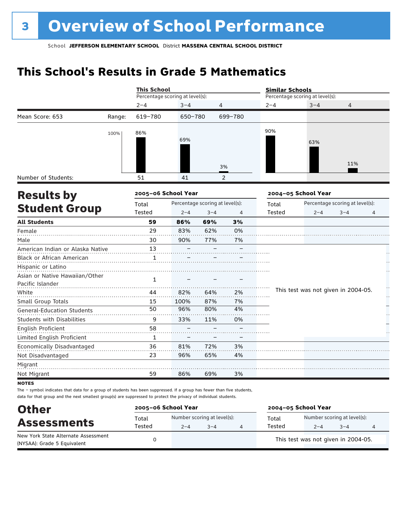### **This School's Results in Grade 5 Mathematics**

|                                   |        | <b>This School</b>              |                                 |         |                | <b>Similar Schools</b>          |                                     |                                 |    |  |
|-----------------------------------|--------|---------------------------------|---------------------------------|---------|----------------|---------------------------------|-------------------------------------|---------------------------------|----|--|
|                                   |        | Percentage scoring at level(s): |                                 |         |                | Percentage scoring at level(s): |                                     |                                 |    |  |
|                                   |        | $2 - 4$                         | $3 - 4$                         | 4       |                | $2 - 4$                         | $3 - 4$                             | 4                               |    |  |
| Mean Score: 653                   | Range: | 619-780                         | 650-780                         |         | 699-780        |                                 |                                     |                                 |    |  |
|                                   | 100%   | 86%                             |                                 |         |                | 90%                             |                                     |                                 |    |  |
|                                   |        |                                 | 69%                             |         |                |                                 | 63%                                 |                                 |    |  |
|                                   |        |                                 |                                 |         |                |                                 |                                     |                                 |    |  |
|                                   |        |                                 |                                 |         |                |                                 |                                     | 11%                             |    |  |
|                                   |        |                                 |                                 |         | 3%             |                                 |                                     |                                 |    |  |
| Number of Students:               |        | 51                              | 41                              |         | $\overline{2}$ |                                 |                                     |                                 |    |  |
| <b>Results by</b>                 |        | 2005-06 School Year             |                                 |         |                |                                 | 2004-05 School Year                 |                                 |    |  |
|                                   |        | Total                           | Percentage scoring at level(s): |         |                | Total                           |                                     | Percentage scoring at level(s): |    |  |
| <b>Student Group</b>              |        | Tested                          | $2 - 4$                         | $3 - 4$ | 4              | <b>Tested</b>                   | $2 - 4$                             | $3 - 4$                         | 4  |  |
| <b>All Students</b>               |        | 59                              | 86%                             | 69%     | 3%             |                                 |                                     |                                 |    |  |
| Female                            |        | 29                              | 83%                             | 62%     | 0%             |                                 |                                     |                                 |    |  |
| Male                              |        | 30                              | 90%                             | 77%     | 7%             |                                 |                                     |                                 |    |  |
| American Indian or Alaska Native  |        | 13                              |                                 |         |                |                                 |                                     |                                 |    |  |
| Black or African American         |        | 1                               |                                 |         |                |                                 |                                     |                                 |    |  |
| Hispanic or Latino                |        |                                 |                                 |         |                |                                 |                                     |                                 |    |  |
| Asian or Native Hawaiian/Other    |        | 1                               |                                 |         |                |                                 |                                     |                                 |    |  |
| Pacific Islander                  |        |                                 |                                 |         |                |                                 |                                     |                                 |    |  |
| White                             |        | 44                              | 82%                             | 64%     | 2%             |                                 | This test was not given in 2004-05. |                                 | Н, |  |
| Small Group Totals                |        | 15                              | 100%                            | 87%     | 7%             |                                 |                                     |                                 |    |  |
| <b>General-Education Students</b> |        | 50                              | 96%                             | 80%     | 4%             |                                 |                                     |                                 |    |  |
| Students with Disabilities        |        | 9                               | 33%                             | 11%     | 0%             |                                 |                                     |                                 |    |  |
| English Proficient                |        | 58                              |                                 |         |                |                                 |                                     |                                 |    |  |
| Limited English Proficient        |        | 1                               |                                 |         |                |                                 |                                     |                                 |    |  |
| Economically Disadvantaged        |        | 36                              | 81%                             | 72%     | 3%             |                                 |                                     |                                 |    |  |
| Not Disadvantaged                 |        | 23                              | 96%                             | 65%     | 4%             |                                 |                                     |                                 |    |  |
| Migrant                           |        |                                 |                                 |         |                |                                 |                                     |                                 |    |  |
| Not Migrant                       |        | 59                              | 86%                             | 69%     | 3%             |                                 |                                     |                                 |    |  |
|                                   |        |                                 |                                 |         |                |                                 |                                     |                                 |    |  |

**NOTES** 

| <b>Other</b>                                                       | 2005-06 School Year |                                        |         | 2004-05 School Year |                                        |         |  |
|--------------------------------------------------------------------|---------------------|----------------------------------------|---------|---------------------|----------------------------------------|---------|--|
| <b>Assessments</b>                                                 | Total<br>Tested     | Number scoring at level(s):<br>$2 - 4$ | $3 - 4$ | Total<br>Tested     | Number scoring at level(s):<br>$2 - 4$ | $3 - 4$ |  |
| New York State Alternate Assessment<br>(NYSAA): Grade 5 Equivalent |                     |                                        |         |                     | This test was not given in 2004-05.    |         |  |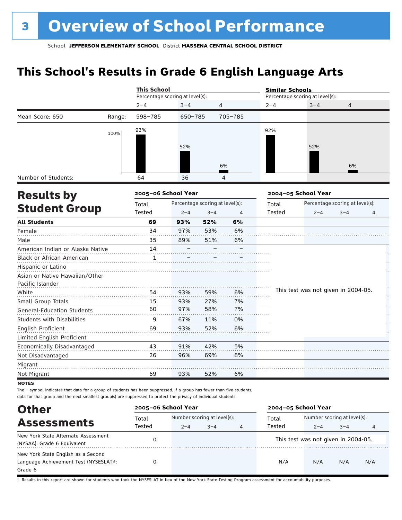## **This School's Results in Grade 6 English Language Arts**

|                                   |        | <b>This School</b>              |         |                                 |         | <b>Similar Schools</b> |                                     |                                 |    |  |
|-----------------------------------|--------|---------------------------------|---------|---------------------------------|---------|------------------------|-------------------------------------|---------------------------------|----|--|
|                                   |        | Percentage scoring at level(s): |         |                                 |         |                        | Percentage scoring at level(s):     |                                 |    |  |
|                                   |        | $2 - 4$                         | $3 - 4$ | $\overline{4}$                  |         | $2 - 4$                | $3 - 4$                             | $\overline{4}$                  |    |  |
| Mean Score: 650                   | Range: | 598-785                         | 650-785 |                                 | 705-785 |                        |                                     |                                 |    |  |
|                                   | 100%   | 93%                             |         |                                 |         | 92%                    |                                     |                                 |    |  |
|                                   |        |                                 |         |                                 |         |                        |                                     |                                 |    |  |
|                                   |        |                                 | 52%     |                                 |         |                        | 52%                                 |                                 |    |  |
|                                   |        |                                 |         |                                 |         |                        |                                     |                                 |    |  |
|                                   |        |                                 |         |                                 | 6%      |                        |                                     | 6%                              |    |  |
| Number of Students:               |        | 64                              | 36      |                                 | 4       |                        |                                     |                                 |    |  |
| <b>Results by</b>                 |        | 2005-06 School Year             |         |                                 |         |                        | 2004-05 School Year                 |                                 |    |  |
|                                   |        | Total                           |         | Percentage scoring at level(s): |         | Total                  |                                     | Percentage scoring at level(s): |    |  |
| <b>Student Group</b>              |        | Tested                          | $2 - 4$ | $3 - 4$                         | 4       | Tested                 | $2 - 4$                             | $3 - 4$                         | 4  |  |
| <b>All Students</b>               |        | 69                              | 93%     | 52%                             | 6%      |                        |                                     |                                 |    |  |
| Female                            |        | 34                              | 97%     | 53%                             | 6%      |                        |                                     |                                 |    |  |
| Male                              |        | 35                              | 89%     | 51%                             | 6%      |                        |                                     |                                 |    |  |
| American Indian or Alaska Native  |        | 14                              |         |                                 |         |                        |                                     |                                 |    |  |
| <b>Black or African American</b>  |        | 1                               |         |                                 |         |                        |                                     |                                 |    |  |
| Hispanic or Latino                |        |                                 |         |                                 |         |                        |                                     |                                 |    |  |
| Asian or Native Hawaiian/Other    |        |                                 |         |                                 |         |                        |                                     |                                 |    |  |
| Pacific Islander                  |        |                                 |         |                                 |         |                        |                                     |                                 | i. |  |
| White                             |        | 54                              | 93%     | 59%                             | 6%      |                        | This test was not given in 2004-05. |                                 | ŀ, |  |
| Small Group Totals                |        | 15                              | 93%     | 27%                             | 7%      |                        |                                     |                                 |    |  |
| <b>General-Education Students</b> |        | 60                              | 97%     | 58%                             | 7%      |                        |                                     |                                 |    |  |
| <b>Students with Disabilities</b> |        | 9                               | 67%     | 11%                             | 0%      |                        |                                     |                                 |    |  |
| English Proficient                |        | 69                              | 93%     | 52%                             | 6%      |                        |                                     |                                 |    |  |
| Limited English Proficient        |        |                                 |         |                                 |         |                        |                                     |                                 |    |  |
| Economically Disadvantaged        |        | 43                              | 91%     | 42%                             | 5%      |                        |                                     |                                 |    |  |
| Not Disadvantaged                 |        | 26                              | 96%     | 69%                             | 8%      |                        |                                     |                                 |    |  |
| Migrant                           |        |                                 |         |                                 |         |                        |                                     |                                 |    |  |
| Not Migrant                       |        | 69                              | 93%     | 52%                             | 6%      |                        |                                     |                                 |    |  |
| <b>NOTES</b>                      |        |                                 |         |                                 |         |                        |                                     |                                 |    |  |

The – symbol indicates that data for a group of students has been suppressed. If a group has fewer than five students, data for that group and the next smallest group(s) are suppressed to protect the privacy of individual students.

| <b>Other</b>                           | 2005-06 School Year |                             |         |   | 2004-05 School Year |                                     |         |     |
|----------------------------------------|---------------------|-----------------------------|---------|---|---------------------|-------------------------------------|---------|-----|
| <b>Assessments</b>                     | Total               | Number scoring at level(s): |         |   | Total               | Number scoring at level(s):         |         |     |
|                                        | Tested              | $2 - 4$                     | $3 - 4$ | 4 | Tested              | $2 - 4$                             | $3 - 4$ | 4   |
| New York State Alternate Assessment    |                     |                             |         |   |                     | This test was not given in 2004-05. |         |     |
| (NYSAA): Grade 6 Equivalent            |                     |                             |         |   |                     |                                     |         |     |
| New York State English as a Second     |                     |                             |         |   |                     |                                     |         |     |
| Language Achievement Test (NYSESLAT)t: |                     |                             |         |   | N/A                 | N/A                                 | N/A     | N/A |
| Grade 6                                |                     |                             |         |   |                     |                                     |         |     |

† Results in this report are shown for students who took the NYSESLAT in lieu of the New York State Testing Program assessment for accountability purposes.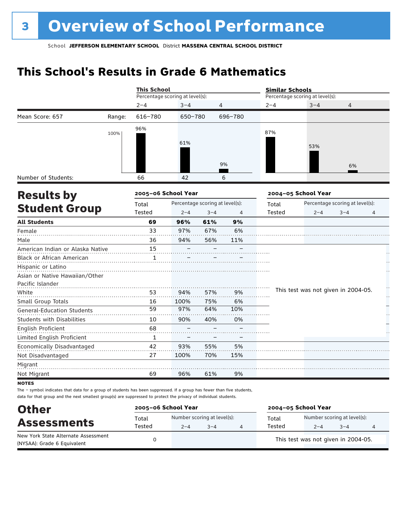## **This School's Results in Grade 6 Mathematics**

|                                   |        | <b>This School</b>              |         |                                 |         | <b>Similar Schools</b> |                                     |                                 |    |  |  |
|-----------------------------------|--------|---------------------------------|---------|---------------------------------|---------|------------------------|-------------------------------------|---------------------------------|----|--|--|
|                                   |        | Percentage scoring at level(s): |         |                                 |         |                        | Percentage scoring at level(s):     |                                 |    |  |  |
|                                   |        | $2 - 4$                         | $3 - 4$ | 4                               |         | $2 - 4$                | $3 - 4$                             | 4                               |    |  |  |
| Mean Score: 657                   | Range: | $616 - 780$                     | 650-780 |                                 | 696-780 |                        |                                     |                                 |    |  |  |
|                                   | 100%   | 96%                             |         |                                 |         | 87%                    |                                     |                                 |    |  |  |
|                                   |        |                                 | 61%     |                                 |         |                        |                                     |                                 |    |  |  |
|                                   |        |                                 |         |                                 |         |                        | 53%                                 |                                 |    |  |  |
|                                   |        |                                 |         |                                 |         |                        |                                     |                                 |    |  |  |
|                                   |        |                                 |         |                                 | 9%      |                        |                                     | 6%                              |    |  |  |
| Number of Students:               |        | 66                              | 42      |                                 | 6       |                        |                                     |                                 |    |  |  |
| <b>Results by</b>                 |        | 2005-06 School Year             |         |                                 |         |                        | 2004-05 School Year                 |                                 |    |  |  |
|                                   |        | Total                           |         | Percentage scoring at level(s): |         | Total                  |                                     | Percentage scoring at level(s): |    |  |  |
| <b>Student Group</b>              |        | Tested                          | $2 - 4$ | $3 - 4$                         | 4       | Tested                 | $2 - 4$                             | $3 - 4$                         | 4  |  |  |
| <b>All Students</b>               |        | 69                              | 96%     | 61%                             | 9%      |                        |                                     |                                 |    |  |  |
| Female                            |        | 33                              | 97%     | 67%                             | 6%      |                        |                                     |                                 |    |  |  |
| Male                              |        | 36                              | 94%     | 56%                             | 11%     |                        |                                     |                                 |    |  |  |
| American Indian or Alaska Native  |        | 15                              |         |                                 |         |                        |                                     |                                 |    |  |  |
| Black or African American         |        | $\mathbf{1}$                    |         |                                 |         |                        |                                     |                                 |    |  |  |
| Hispanic or Latino                |        |                                 |         |                                 |         |                        |                                     |                                 |    |  |  |
| Asian or Native Hawaiian/Other    |        |                                 |         |                                 |         |                        |                                     |                                 |    |  |  |
| Pacific Islander                  |        |                                 |         |                                 |         |                        |                                     |                                 | H  |  |  |
| White                             |        | 53                              | 94%     | 57%                             | 9%      |                        | This test was not given in 2004-05. |                                 | μ, |  |  |
| Small Group Totals                |        | 16                              | 100%    | 75%                             | 6%      |                        |                                     |                                 |    |  |  |
| <b>General-Education Students</b> |        | 59                              | 97%     | 64%                             | 10%     |                        |                                     |                                 |    |  |  |
| <b>Students with Disabilities</b> |        | 10                              | 90%     | 40%                             | 0%      |                        |                                     |                                 |    |  |  |
| <b>English Proficient</b>         |        | 68                              |         |                                 |         |                        |                                     |                                 |    |  |  |
| Limited English Proficient        |        | 1                               |         |                                 |         |                        |                                     |                                 |    |  |  |
| Economically Disadvantaged        |        | 42                              | 93%     | 55%                             | 5%      |                        |                                     |                                 |    |  |  |
| Not Disadvantaged                 |        | 27                              | 100%    | 70%                             | 15%     |                        |                                     |                                 |    |  |  |
| Migrant                           |        |                                 |         |                                 |         |                        |                                     |                                 |    |  |  |
| Not Migrant                       |        | 69                              | 96%     | 61%                             | 9%      |                        |                                     |                                 |    |  |  |
| ----                              |        |                                 |         |                                 |         |                        |                                     |                                 |    |  |  |

**NOTES** 

| <b>Other</b>                                                       | 2005-06 School Year |         |                                        | 2004-05 School Year |                                        |         |  |  |
|--------------------------------------------------------------------|---------------------|---------|----------------------------------------|---------------------|----------------------------------------|---------|--|--|
| <b>Assessments</b>                                                 | Total<br>Tested     | $2 - 4$ | Number scoring at level(s):<br>$3 - 4$ | Total<br>Tested     | Number scoring at level(s):<br>$2 - 4$ | $3 - 4$ |  |  |
| New York State Alternate Assessment<br>(NYSAA): Grade 6 Equivalent |                     |         |                                        |                     | This test was not given in 2004-05.    |         |  |  |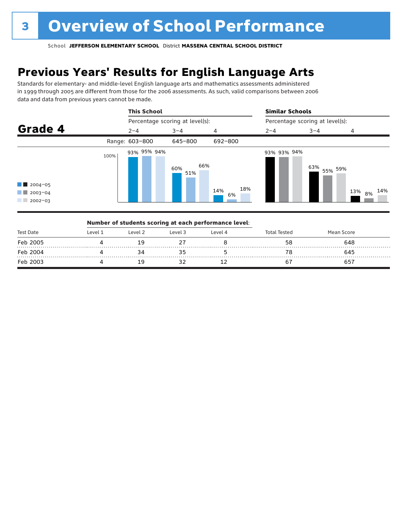### **Previous Years' Results for English Language Arts**

Standards for elementary- and middle-level English language arts and mathematics assessments administered in 1999 through 2005 are different from those for the 2006 assessments. As such, valid comparisons between 2006 data and data from previous years cannot be made.



| <b>Test Date</b> |         |         | Number of students scoring at each performance level: |         |                     |            |  |
|------------------|---------|---------|-------------------------------------------------------|---------|---------------------|------------|--|
|                  | Level 1 | Level 2 | Level 3                                               | Level 4 | <b>Total Tested</b> | Mean Score |  |
| Feb 2005         |         |         |                                                       |         | 58                  | 648        |  |
| Feb 2004         |         |         |                                                       |         |                     | 645        |  |
| Feb 2003         |         |         |                                                       |         |                     |            |  |